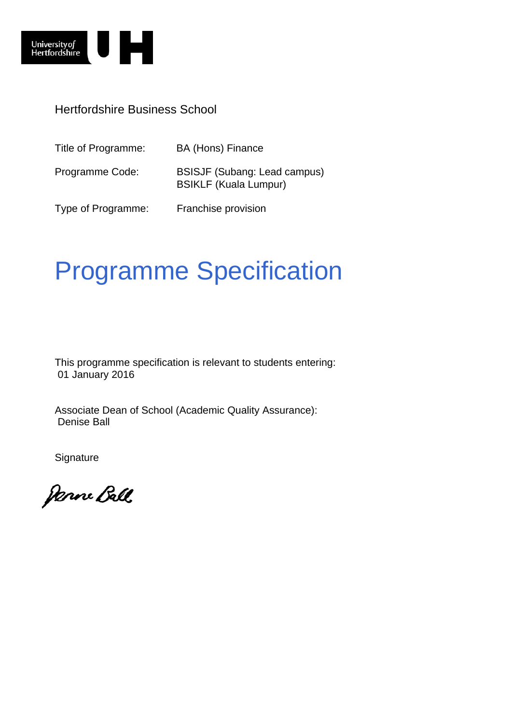

### Hertfordshire Business School

| Title of Programme: | BA (Hons) Finance                                                   |
|---------------------|---------------------------------------------------------------------|
| Programme Code:     | <b>BSISJF (Subang: Lead campus)</b><br><b>BSIKLF (Kuala Lumpur)</b> |
| Type of Programme:  | Franchise provision                                                 |

# Programme Specification

This programme specification is relevant to students entering: 01 January 2016

Associate Dean of School (Academic Quality Assurance): Denise Ball

**Signature** 

Janne Ball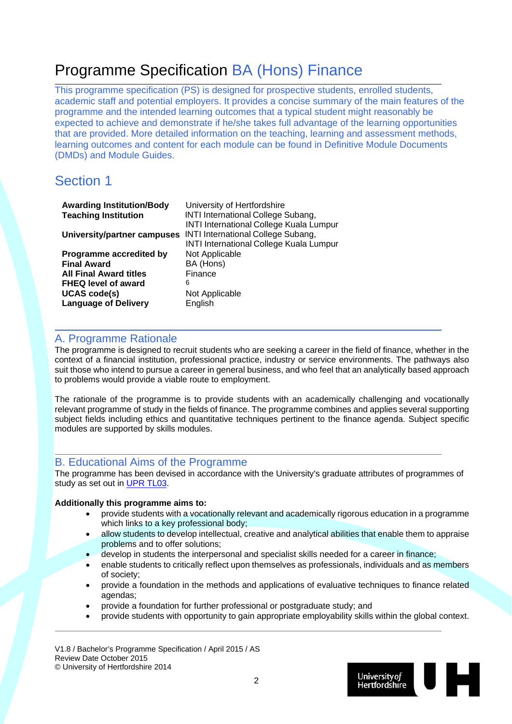## Programme Specification BA (Hons) Finance

This programme specification (PS) is designed for prospective students, enrolled students, academic staff and potential employers. It provides a concise summary of the main features of the programme and the intended learning outcomes that a typical student might reasonably be expected to achieve and demonstrate if he/she takes full advantage of the learning opportunities that are provided. More detailed information on the teaching, learning and assessment methods, learning outcomes and content for each module can be found in Definitive Module Documents (DMDs) and Module Guides.

### Section 1

| <b>Awarding Institution/Body</b> | University of Hertfordshire                                                                                                                   |
|----------------------------------|-----------------------------------------------------------------------------------------------------------------------------------------------|
| <b>Teaching Institution</b>      | <b>INTI International College Subang,</b>                                                                                                     |
| University/partner campuses      | <b>INTI International College Kuala Lumpur</b><br><b>INTI International College Subang,</b><br><b>INTI International College Kuala Lumpur</b> |
| Programme accredited by          | Not Applicable                                                                                                                                |
| <b>Final Award</b>               | BA (Hons)                                                                                                                                     |
| <b>All Final Award titles</b>    | Finance                                                                                                                                       |
| <b>FHEQ level of award</b>       | 6                                                                                                                                             |
| <b>UCAS code(s)</b>              | Not Applicable                                                                                                                                |
| <b>Language of Delivery</b>      | English                                                                                                                                       |
|                                  |                                                                                                                                               |

#### A. Programme Rationale

The programme is designed to recruit students who are seeking a career in the field of finance, whether in the context of a financial institution, professional practice, industry or service environments. The pathways also suit those who intend to pursue a career in general business, and who feel that an analytically based approach to problems would provide a viable route to employment.

The rationale of the programme is to provide students with an academically challenging and vocationally relevant programme of study in the fields of finance. The programme combines and applies several supporting subject fields including ethics and quantitative techniques pertinent to the finance agenda. Subject specific modules are supported by skills modules.

#### B. Educational Aims of the Programme

The programme has been devised in accordance with the University's graduate attributes of programmes of study as set out in UPR TL03.

#### **Additionally this programme aims to:**

- provide students with a vocationally relevant and academically rigorous education in a programme which links to a key professional body;
- allow students to develop intellectual, creative and analytical abilities that enable them to appraise problems and to offer solutions;
- develop in students the interpersonal and specialist skills needed for a career in finance;
- enable students to critically reflect upon themselves as professionals, individuals and as members of society;
- provide a foundation in the methods and applications of evaluative techniques to finance related agendas;
- provide a foundation for further professional or postgraduate study; and
- provide students with opportunity to gain appropriate employability skills within the global context.

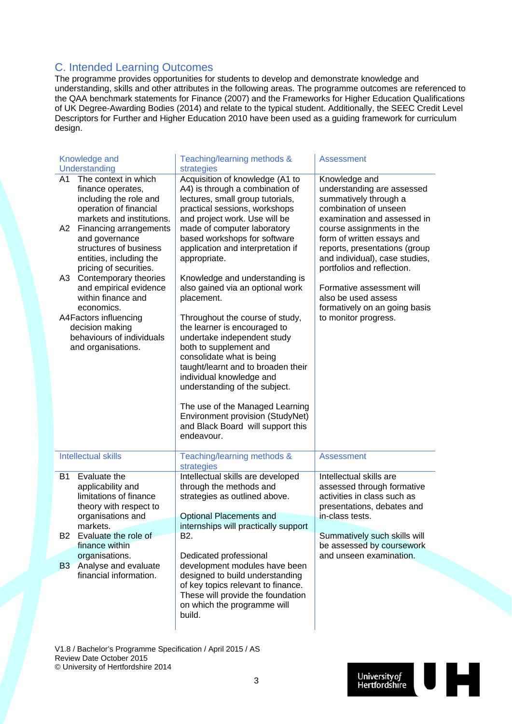### C. Intended Learning Outcomes

The programme provides opportunities for students to develop and demonstrate knowledge and understanding, skills and other attributes in the following areas. The programme outcomes are referenced to the QAA benchmark statements for Finance (2007) and the Frameworks for Higher Education Qualifications of UK Degree-Awarding Bodies (2014) and relate to the typical student. Additionally, the SEEC Credit Level Descriptors for Further and Higher Education 2010 have been used as a guiding framework for curriculum design.

| Knowledge and                                                                                                                                                                                                                                                                                                                                                                                                                                                        | Teaching/learning methods &                                                                                                                                                                                                                                                                                                                                                                                                                                                                                                                                                                                                                                | <b>Assessment</b>                                                                                                                     |
|----------------------------------------------------------------------------------------------------------------------------------------------------------------------------------------------------------------------------------------------------------------------------------------------------------------------------------------------------------------------------------------------------------------------------------------------------------------------|------------------------------------------------------------------------------------------------------------------------------------------------------------------------------------------------------------------------------------------------------------------------------------------------------------------------------------------------------------------------------------------------------------------------------------------------------------------------------------------------------------------------------------------------------------------------------------------------------------------------------------------------------------|---------------------------------------------------------------------------------------------------------------------------------------|
| Understanding                                                                                                                                                                                                                                                                                                                                                                                                                                                        |                                                                                                                                                                                                                                                                                                                                                                                                                                                                                                                                                                                                                                                            | Knowledge and                                                                                                                         |
| The context in which<br>A1<br>finance operates,<br>including the role and<br>operation of financial<br>markets and institutions.<br>A2<br><b>Financing arrangements</b><br>and governance<br>structures of business<br>entities, including the<br>pricing of securities.<br>Contemporary theories<br>A3<br>and empirical evidence<br>within finance and<br>economics.<br>A4Factors influencing<br>decision making<br>behaviours of individuals<br>and organisations. | strategies<br>Acquisition of knowledge (A1 to<br>A4) is through a combination of<br>lectures, small group tutorials,<br>practical sessions, workshops<br>and project work. Use will be<br>made of computer laboratory<br>based workshops for software<br>application and interpretation if<br>appropriate.<br>Knowledge and understanding is<br>also gained via an optional work<br>placement.<br>Throughout the course of study,<br>the learner is encouraged to<br>undertake independent study<br>both to supplement and<br>consolidate what is being<br>taught/learnt and to broaden their<br>individual knowledge and<br>understanding of the subject. |                                                                                                                                       |
|                                                                                                                                                                                                                                                                                                                                                                                                                                                                      | The use of the Managed Learning<br>Environment provision (StudyNet)<br>and Black Board will support this<br>endeavour.                                                                                                                                                                                                                                                                                                                                                                                                                                                                                                                                     |                                                                                                                                       |
| <b>Intellectual skills</b>                                                                                                                                                                                                                                                                                                                                                                                                                                           | Teaching/learning methods &<br>strategies                                                                                                                                                                                                                                                                                                                                                                                                                                                                                                                                                                                                                  | <b>Assessment</b>                                                                                                                     |
| <b>B1</b><br>Evaluate the<br>applicability and<br>limitations of finance<br>theory with respect to<br>organisations and<br>markets.                                                                                                                                                                                                                                                                                                                                  | Intellectual skills are developed<br>through the methods and<br>strategies as outlined above.<br><b>Optional Placements and</b><br>internships will practically support                                                                                                                                                                                                                                                                                                                                                                                                                                                                                    | Intellectual skills are<br>assessed through formative<br>activities in class such as<br>presentations, debates and<br>in-class tests. |
| B2<br>Evaluate the role of<br>finance within                                                                                                                                                                                                                                                                                                                                                                                                                         | B2.                                                                                                                                                                                                                                                                                                                                                                                                                                                                                                                                                                                                                                                        | Summatively such skills will<br>be assessed by coursework                                                                             |
| organisations.<br><b>B3</b><br>Analyse and evaluate                                                                                                                                                                                                                                                                                                                                                                                                                  | Dedicated professional<br>development modules have been                                                                                                                                                                                                                                                                                                                                                                                                                                                                                                                                                                                                    | and unseen examination.                                                                                                               |
| financial information.                                                                                                                                                                                                                                                                                                                                                                                                                                               | designed to build understanding<br>of key topics relevant to finance.<br>These will provide the foundation<br>on which the programme will<br>build.                                                                                                                                                                                                                                                                                                                                                                                                                                                                                                        |                                                                                                                                       |

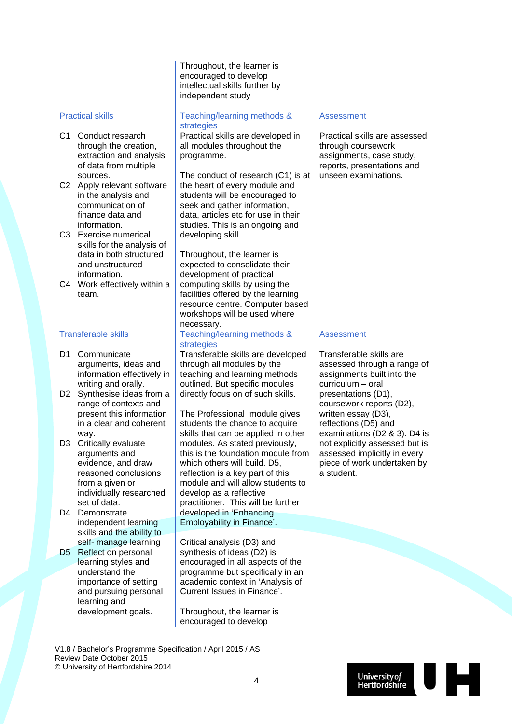|                                  |                                                                                                                                  | Throughout, the learner is<br>encouraged to develop<br>intellectual skills further by<br>independent study                                                                                                      |                                                                                                                                  |
|----------------------------------|----------------------------------------------------------------------------------------------------------------------------------|-----------------------------------------------------------------------------------------------------------------------------------------------------------------------------------------------------------------|----------------------------------------------------------------------------------------------------------------------------------|
|                                  | <b>Practical skills</b>                                                                                                          | Teaching/learning methods &<br>strategies                                                                                                                                                                       | <b>Assessment</b>                                                                                                                |
| C1                               | Conduct research<br>through the creation,<br>extraction and analysis<br>of data from multiple                                    | Practical skills are developed in<br>all modules throughout the<br>programme.                                                                                                                                   | Practical skills are assessed<br>through coursework<br>assignments, case study,<br>reports, presentations and                    |
| C <sub>2</sub>                   | sources.<br>Apply relevant software<br>in the analysis and<br>communication of<br>finance data and<br>information.               | The conduct of research (C1) is at<br>the heart of every module and<br>students will be encouraged to<br>seek and gather information,<br>data, articles etc for use in their<br>studies. This is an ongoing and | unseen examinations.                                                                                                             |
|                                  | C3 Exercise numerical<br>skills for the analysis of<br>data in both structured<br>and unstructured                               | developing skill.<br>Throughout, the learner is<br>expected to consolidate their                                                                                                                                |                                                                                                                                  |
| C4                               | information.<br>Work effectively within a<br>team.                                                                               | development of practical<br>computing skills by using the<br>facilities offered by the learning<br>resource centre. Computer based<br>workshops will be used where<br>necessary.                                |                                                                                                                                  |
|                                  | <b>Transferable skills</b>                                                                                                       | Teaching/learning methods &<br>strategies                                                                                                                                                                       | <b>Assessment</b>                                                                                                                |
| D <sub>1</sub><br>D <sub>2</sub> | Communicate<br>arguments, ideas and<br>information effectively in<br>writing and orally.<br>Synthesise ideas from a              | Transferable skills are developed<br>through all modules by the<br>teaching and learning methods<br>outlined. But specific modules<br>directly focus on of such skills.                                         | Transferable skills are<br>assessed through a range of<br>assignments built into the<br>curriculum - oral<br>presentations (D1), |
|                                  | range of contexts and<br>present this information<br>in a clear and coherent<br>way.                                             | The Professional module gives<br>students the chance to acquire<br>skills that can be applied in other                                                                                                          | coursework reports (D2),<br>written essay (D3),<br>reflections (D5) and<br>examinations (D2 & 3). D4 is                          |
| D3                               | Critically evaluate<br>arguments and<br>evidence, and draw<br>reasoned conclusions<br>from a given or<br>individually researched | modules. As stated previously,<br>this is the foundation module from<br>which others will build. D5,<br>reflection is a key part of this<br>module and will allow students to<br>develop as a reflective        | not explicitly assessed but is<br>assessed implicitly in every<br>piece of work undertaken by<br>a student.                      |
| D4                               | set of data.<br>Demonstrate<br>independent learning<br>skills and the ability to                                                 | practitioner. This will be further<br>developed in 'Enhancing<br>Employability in Finance'.                                                                                                                     |                                                                                                                                  |
| D5                               | self- manage learning<br>Reflect on personal                                                                                     | Critical analysis (D3) and<br>synthesis of ideas (D2) is                                                                                                                                                        |                                                                                                                                  |
|                                  | learning styles and<br>understand the<br>importance of setting<br>and pursuing personal<br>learning and                          | encouraged in all aspects of the<br>programme but specifically in an<br>academic context in 'Analysis of<br>Current Issues in Finance'.                                                                         |                                                                                                                                  |
|                                  | development goals.                                                                                                               | Throughout, the learner is<br>encouraged to develop                                                                                                                                                             |                                                                                                                                  |
|                                  | V1.8 / Bachelor's Programme Specification / April 2015 / AS<br>Review Date October 2015                                          |                                                                                                                                                                                                                 |                                                                                                                                  |

© University of Hertfordshire 2014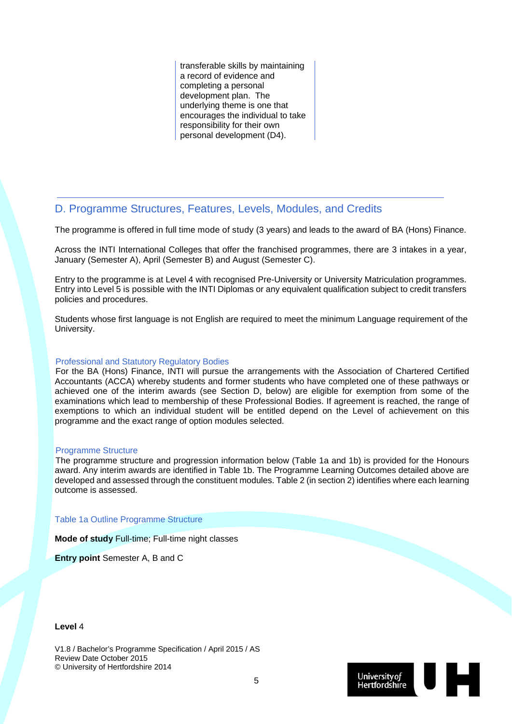transferable skills by maintaining a record of evidence and completing a personal development plan. The underlying theme is one that encourages the individual to take responsibility for their own personal development (D4).

#### D. Programme Structures, Features, Levels, Modules, and Credits

The programme is offered in full time mode of study (3 years) and leads to the award of BA (Hons) Finance.

Across the INTI International Colleges that offer the franchised programmes, there are 3 intakes in a year, January (Semester A), April (Semester B) and August (Semester C).

Entry to the programme is at Level 4 with recognised Pre-University or University Matriculation programmes. Entry into Level 5 is possible with the INTI Diplomas or any equivalent qualification subject to credit transfers policies and procedures.

Students whose first language is not English are required to meet the minimum Language requirement of the University.

#### Professional and Statutory Regulatory Bodies

For the BA (Hons) Finance, INTI will pursue the arrangements with the Association of Chartered Certified Accountants (ACCA) whereby students and former students who have completed one of these pathways or achieved one of the interim awards (see Section D, below) are eligible for exemption from some of the examinations which lead to membership of these Professional Bodies. If agreement is reached, the range of exemptions to which an individual student will be entitled depend on the Level of achievement on this programme and the exact range of option modules selected.

#### Programme Structure

The programme structure and progression information below (Table 1a and 1b) is provided for the Honours award. Any interim awards are identified in Table 1b. The Programme Learning Outcomes detailed above are developed and assessed through the constituent modules. Table 2 (in section 2) identifies where each learning outcome is assessed.

Table 1a Outline Programme Structure

**Mode of study** Full-time; Full-time night classes

**Entry point** Semester A, B and C

#### **Level** 4

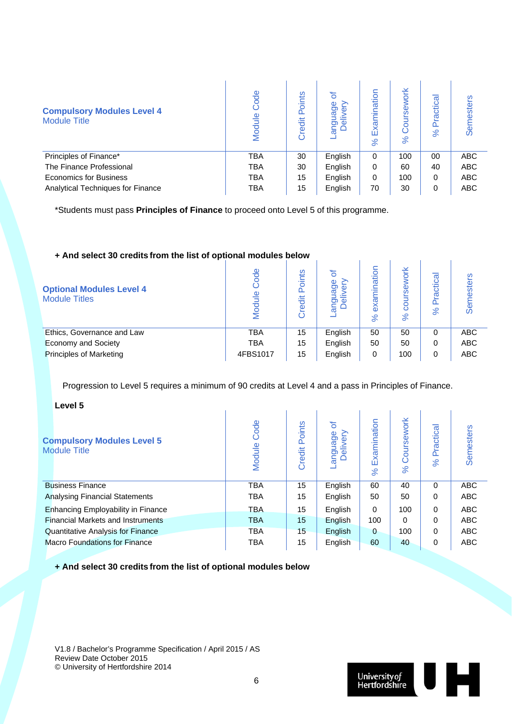| <b>Compulsory Modules Level 4</b><br><b>Module Title</b> | Code<br>Module | oints<br>≏<br>Credit | ৳<br>age<br>$\Phi$<br>angus<br>Deli | xamination<br>ш<br>$\aleph$ | <b>lork</b><br>Φ<br>$\aleph$ | ctical<br>Ē<br>ō<br>$\aleph$ | Semesters  |
|----------------------------------------------------------|----------------|----------------------|-------------------------------------|-----------------------------|------------------------------|------------------------------|------------|
| Principles of Finance*                                   | TBA            | 30                   | English                             | $\Omega$                    | 100                          | $00\,$                       | ABC        |
| The Finance Professional                                 | <b>TBA</b>     | 30                   | English                             | 0                           | 60                           | 40                           | <b>ABC</b> |
| <b>Economics for Business</b>                            | <b>TBA</b>     | 15                   | English                             | 0                           | 100                          | 0                            | <b>ABC</b> |
| <b>Analytical Techniques for Finance</b>                 | TBA            | 15                   | English                             | 70                          | 30                           | 0                            | <b>ABC</b> |

\*Students must pass **Principles of Finance** to proceed onto Level 5 of this programme.

## **+ And select 30 credits from the list of optional modules below**

|                                                         | <b>T And Science So credits from the fist of optional modules below</b> |                          |                    |                                     |                |                               |                   |
|---------------------------------------------------------|-------------------------------------------------------------------------|--------------------------|--------------------|-------------------------------------|----------------|-------------------------------|-------------------|
| <b>Optional Modules Level 4</b><br><b>Module Titles</b> | Mod                                                                     | ints<br>≏<br>岩<br>ق<br>ت | ៦<br>Φ<br>Ō<br>တ စ | ination<br>σ<br>δ<br>8 <sup>o</sup> | òκ<br>$\aleph$ | ctical<br>తై<br>≏<br>$\aleph$ | ഗ<br>ester<br>Sen |
| Ethics, Governance and Law                              | <b>TBA</b>                                                              | 15                       | English            | 50                                  | 50             | 0                             | <b>ABC</b>        |
| <b>Economy and Society</b>                              | <b>TBA</b>                                                              | 15                       | English            | 50                                  | 50             | 0                             | <b>ABC</b>        |
| <b>Principles of Marketing</b>                          | 4FBS1017                                                                | 15                       | English            | 0                                   | 100            | 0                             | <b>ABC</b>        |
|                                                         |                                                                         |                          |                    |                                     |                |                               |                   |

Progression to Level 5 requires a minimum of 90 credits at Level 4 and a pass in Principles of Finance.

**Level 5**

| LEVEL J                                                  |                |                  |                          |                         |                        |                |                  |
|----------------------------------------------------------|----------------|------------------|--------------------------|-------------------------|------------------------|----------------|------------------|
| <b>Compulsory Modules Level 5</b><br><b>Module Title</b> | Code<br>Module | Points<br>Credit | ৳<br>anguage<br>Delivery | Examination<br>$\aleph$ | Coursework<br>$\aleph$ | Practical<br>೫ | <b>Semesters</b> |
| <b>Business Finance</b>                                  | <b>TBA</b>     | 15               | English                  | 60                      | 40                     | 0              | <b>ABC</b>       |
| <b>Analysing Financial Statements</b>                    | <b>TBA</b>     | 15               | English                  | 50                      | 50                     | 0              | <b>ABC</b>       |
| <b>Enhancing Employability in Finance</b>                | <b>TBA</b>     | 15               | English                  | $\Omega$                | 100                    | 0              | <b>ABC</b>       |
| <b>Financial Markets and Instruments</b>                 | <b>TBA</b>     | 15               | English                  | 100                     | 0                      | 0              | <b>ABC</b>       |
| Quantitative Analysis for Finance                        | <b>TBA</b>     | 15               | English                  | $\mathbf 0$             | 100                    | 0              | <b>ABC</b>       |
| <b>Macro Foundations for Finance</b>                     | <b>TBA</b>     | 15               | English                  | 60                      | 40                     | 0              | <b>ABC</b>       |
|                                                          |                |                  |                          |                         |                        |                |                  |

**+ And select 30 credits from the list of optional modules below**

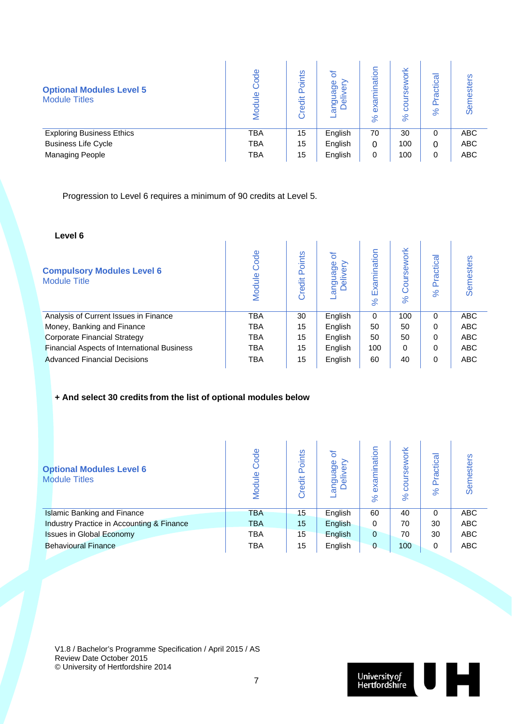| <b>Optional Modules Level 5</b><br><b>Module Titles</b> | ode<br>Module | ints<br>ō<br>Δ<br>≝<br>ଟ୍ଟ<br>ပ် | Ф<br>ರಾ<br>Φ<br>ັດ $\Phi$<br>⊂ ∩<br>ത | ination<br>–<br>exa<br>$\aleph$ | 폰<br>Ó<br>Φ<br>ဖ<br>8<br>$\aleph$ | ctical<br>ω<br>४ | ഗ<br>nester<br>Sen |
|---------------------------------------------------------|---------------|----------------------------------|---------------------------------------|---------------------------------|-----------------------------------|------------------|--------------------|
| <b>Exploring Business Ethics</b>                        | <b>TBA</b>    | 15                               | English                               | 70                              | 30                                | 0                | <b>ABC</b>         |
| <b>Business Life Cycle</b>                              | <b>TBA</b>    | 15                               | English                               | 0                               | 100                               | 0                | <b>ABC</b>         |
| <b>Managing People</b>                                  | <b>TBA</b>    | 15                               | English                               | 0                               | 100                               | 0                | <b>ABC</b>         |

Progression to Level 6 requires a minimum of 90 credits at Level 5.

| Level 6                                                  |                |                  |                                        |                         |                          |                     |            |
|----------------------------------------------------------|----------------|------------------|----------------------------------------|-------------------------|--------------------------|---------------------|------------|
| <b>Compulsory Modules Level 6</b><br><b>Module Title</b> | Code<br>Module | Points<br>Credit | ৳<br>nguage<br>Φ<br>≧<br>$\omega$<br>ω | Examination<br>$\aleph$ | rsework<br>Ö<br>$\aleph$ | ractical<br>Ò.<br>ಸ | Semesters  |
| Analysis of Current Issues in Finance                    | <b>TBA</b>     | 30               | English                                | $\Omega$                | 100                      | $\Omega$            | <b>ABC</b> |
| Money, Banking and Finance                               | <b>TBA</b>     | 15               | English                                | 50                      | 50                       | $\Omega$            | <b>ABC</b> |
| <b>Corporate Financial Strategy</b>                      | <b>TBA</b>     | 15               | English                                | 50                      | 50                       | $\Omega$            | <b>ABC</b> |
| Financial Aspects of International Business              | <b>TBA</b>     | 15               | English                                | 100                     | 0                        | $\Omega$            | <b>ABC</b> |
| Advanced Financial Decisions                             | TBA            | 15               | English                                | 60                      | 40                       | $\Omega$            | <b>ABC</b> |

#### **+ And select 30 credits from the list of optional modules below**

| <b>Optional Modules Level 6</b><br><b>Module Titles</b> | Code<br>Module | oints<br>≏<br>Credit | $\sigma$<br>യ<br>0<br>ັດ $\Phi$<br>$\tilde{a}$ o | examination<br>$\aleph$ | work<br>98<br>ā<br>$\aleph$ | ctical<br>Ē<br>$\Omega$<br>$\aleph$ | Semesters  |
|---------------------------------------------------------|----------------|----------------------|--------------------------------------------------|-------------------------|-----------------------------|-------------------------------------|------------|
| <b>Islamic Banking and Finance</b>                      | <b>TBA</b>     | 15                   | English                                          | 60                      | 40                          | 0                                   | <b>ABC</b> |
| Industry Practice in Accounting & Finance               | <b>TBA</b>     | 15                   | English                                          | 0                       | 70                          | 30                                  | <b>ABC</b> |
| <b>Issues in Global Economy</b>                         | TBA            | 15                   | English                                          | $\Omega$                | 70                          | 30                                  | <b>ABC</b> |
| <b>Behavioural Finance</b>                              | TBA            | 15                   | English                                          | $\mathbf{0}$            | 100                         | 0                                   | <b>ABC</b> |

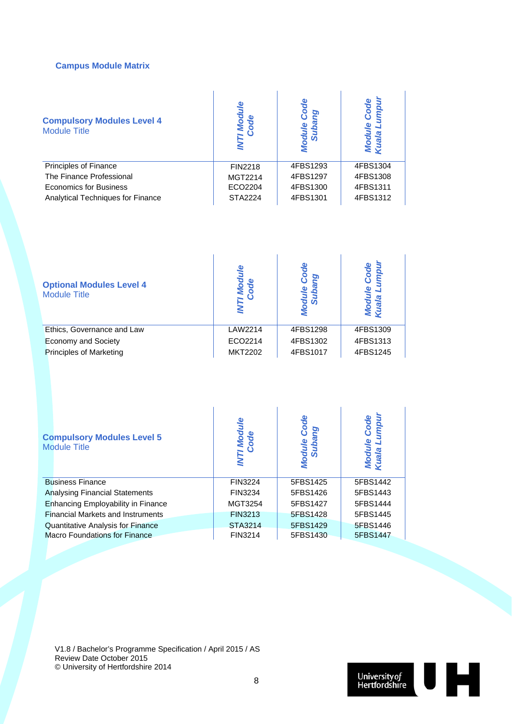#### **Campus Module Matrix**

| <b>Compulsory Modules Level 4</b><br><b>Module Title</b> | l Mod<br>Code  | Φ        | Code<br>Mod<br>Kuala |
|----------------------------------------------------------|----------------|----------|----------------------|
| Principles of Finance                                    | <b>FIN2218</b> | 4FBS1293 | 4FBS1304             |
| The Finance Professional                                 | MGT2214        | 4FBS1297 | 4FBS1308             |
| <b>Economics for Business</b>                            | ECO2204        | 4FBS1300 | 4FBS1311             |
| <b>Analytical Techniques for Finance</b>                 | <b>STA2224</b> | 4FBS1301 | 4FBS1312             |

| <b>Optional Modules Level 4</b><br><b>Module Title</b> | 6              | ρŗ       | Code<br>mpu |
|--------------------------------------------------------|----------------|----------|-------------|
| Ethics, Governance and Law                             | LAW2214        | 4FBS1298 | 4FBS1309    |
| <b>Economy and Society</b>                             | ECO2214        | 4FBS1302 | 4FBS1313    |
| <b>Principles of Marketing</b>                         | <b>MKT2202</b> | 4FBS1017 | 4FBS1245    |

| <b>Compulsory Modules Level 5</b><br><b>Module Title</b> | I<br>Code      | Code<br><b>aule</b><br>Suba<br><b>Mod</b> | Code<br>Mod |  |  |  |  |
|----------------------------------------------------------|----------------|-------------------------------------------|-------------|--|--|--|--|
| <b>Business Finance</b>                                  | <b>FIN3224</b> | 5FBS1425                                  | 5FBS1442    |  |  |  |  |
| <b>Analysing Financial Statements</b>                    | FIN3234        | 5FBS1426                                  | 5FBS1443    |  |  |  |  |
| Enhancing Employability in Finance                       | MGT3254        | 5FBS1427                                  | 5FBS1444    |  |  |  |  |
| <b>Financial Markets and Instruments</b>                 | FIN3213        | 5FBS1428                                  | 5FBS1445    |  |  |  |  |
| <b>Quantitative Analysis for Finance</b>                 | STA3214        | 5FBS1429                                  | 5FBS1446    |  |  |  |  |
| <b>Macro Foundations for Finance</b>                     | FIN3214        | 5FBS1430                                  | 5FBS1447    |  |  |  |  |

т.

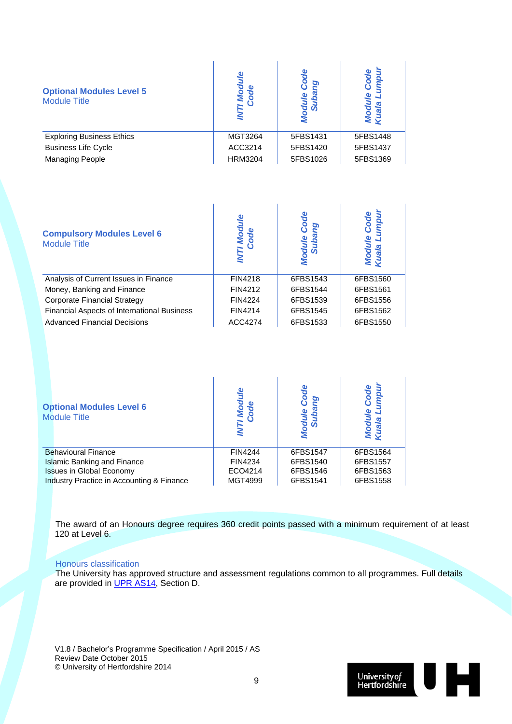| <b>Optional Modules Level 5</b><br><b>Module Title</b> | T Mod<br>Code  | Φ<br><b>SO</b> | Code<br>Mod<br>Kuali |  |  |  |
|--------------------------------------------------------|----------------|----------------|----------------------|--|--|--|
| <b>Exploring Business Ethics</b>                       | MGT3264        | 5FBS1431       | 5FBS1448             |  |  |  |
| <b>Business Life Cycle</b>                             | ACC3214        | 5FBS1420       | 5FBS1437             |  |  |  |
| <b>Managing People</b>                                 | <b>HRM3204</b> | 5FBS1026       | 5FBS1369             |  |  |  |

| <b>Compulsory Modules Level 6</b><br><b>Module Title</b> |                | Module<br>ဖ | ڡۣ<br>Modu<br>Kuala |
|----------------------------------------------------------|----------------|-------------|---------------------|
| Analysis of Current Issues in Finance                    | FIN4218        | 6FBS1543    | 6FBS1560            |
| Money, Banking and Finance                               | FIN4212        | 6FBS1544    | 6FBS1561            |
| Corporate Financial Strategy                             | <b>FIN4224</b> | 6FBS1539    | 6FBS1556            |
| <b>Financial Aspects of International Business</b>       | <b>FIN4214</b> | 6FBS1545    | 6FBS1562            |
| <b>Advanced Financial Decisions</b>                      | ACC4274        | 6FBS1533    | 6FBS1550            |

| <b>Optional Modules Level 6</b><br><b>Module Title</b> |                |          | ode      |
|--------------------------------------------------------|----------------|----------|----------|
| <b>Behavioural Finance</b>                             | <b>FIN4244</b> | 6FBS1547 | 6FBS1564 |
| <b>Islamic Banking and Finance</b>                     | FIN4234        | 6FBS1540 | 6FBS1557 |
| <b>Issues in Global Economy</b>                        | ECO4214        | 6FBS1546 | 6FBS1563 |
| Industry Practice in Accounting & Finance              | MGT4999        | 6FBS1541 | 6FBS1558 |

The award of an Honours degree requires 360 credit points passed with a minimum requirement of at least 120 at Level 6.

#### Honours classification

The University has approved structure and assessment regulations common to all programmes. Full details are provided in UPR AS14, Section D.

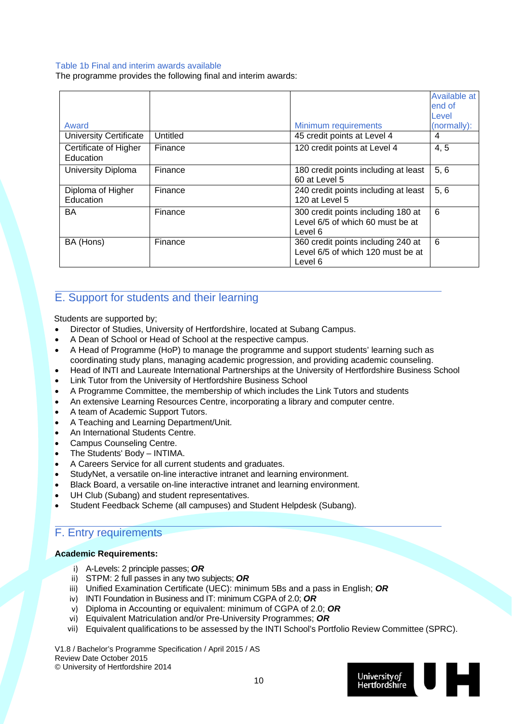#### Table 1b Final and interim awards available

The programme provides the following final and interim awards:

|                                    |          |                                                                                    | Available at<br>end of<br>Level |
|------------------------------------|----------|------------------------------------------------------------------------------------|---------------------------------|
| Award                              |          | <b>Minimum requirements</b>                                                        | (normally):                     |
| <b>University Certificate</b>      | Untitled | 45 credit points at Level 4                                                        | 4                               |
| Certificate of Higher<br>Education | Finance  | 120 credit points at Level 4                                                       | 4, 5                            |
| University Diploma                 | Finance  | 180 credit points including at least<br>60 at Level 5                              | 5, 6                            |
| Diploma of Higher<br>Education     | Finance  | 240 credit points including at least<br>120 at Level 5                             | 5, 6                            |
| <b>BA</b>                          | Finance  | 300 credit points including 180 at<br>Level 6/5 of which 60 must be at<br>Level 6  | 6                               |
| BA (Hons)                          | Finance  | 360 credit points including 240 at<br>Level 6/5 of which 120 must be at<br>Level 6 | 6                               |

#### E. Support for students and their learning

Students are supported by;

- Director of Studies, University of Hertfordshire, located at Subang Campus.
- A Dean of School or Head of School at the respective campus.
- A Head of Programme (HoP) to manage the programme and support students' learning such as coordinating study plans, managing academic progression, and providing academic counseling.
- Head of INTI and Laureate International Partnerships at the University of Hertfordshire Business School
- Link Tutor from the University of Hertfordshire Business School
- A Programme Committee, the membership of which includes the Link Tutors and students
- An extensive Learning Resources Centre, incorporating a library and computer centre.
- A team of Academic Support Tutors.
- A Teaching and Learning Department/Unit.
- An International Students Centre.
- Campus Counseling Centre.
- The Students' Body INTIMA.
- A Careers Service for all current students and graduates.
- StudyNet, a versatile on-line interactive intranet and learning environment.
- Black Board, a versatile on-line interactive intranet and learning environment.
- UH Club (Subang) and student representatives.
- Student Feedback Scheme (all campuses) and Student Helpdesk (Subang).

#### F. Entry requirements

#### **Academic Requirements:**

- i) A-Levels: 2 principle passes; *OR*
- ii) STPM: 2 full passes in any two subjects; *OR*
- iii) Unified Examination Certificate (UEC): minimum 5Bs and a pass in English; *OR*
- iv) INTI Foundation in Business and IT: minimum CGPA of 2.0; *OR*
- v) Diploma in Accounting or equivalent: minimum of CGPA of 2.0; *OR*
- vi) Equivalent Matriculation and/or Pre-University Programmes; *OR*
- vii) Equivalent qualifications to be assessed by the INTI School's Portfolio Review Committee (SPRC).

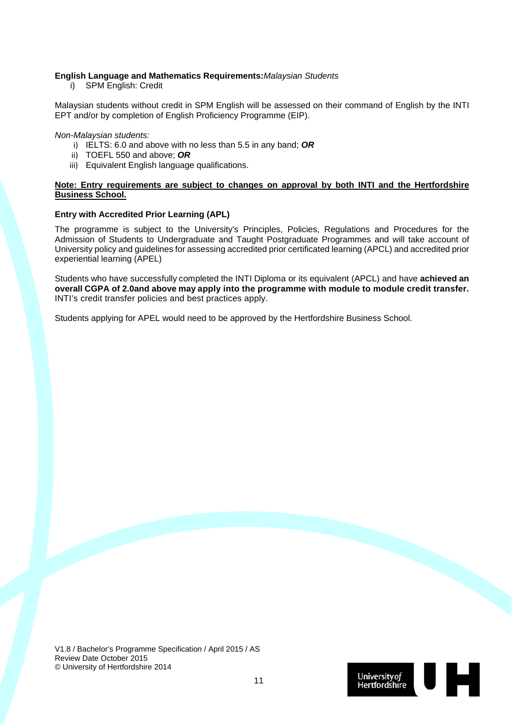#### **English Language and Mathematics Requirements:***Malaysian Students*

i) SPM English: Credit

Malaysian students without credit in SPM English will be assessed on their command of English by the INTI EPT and/or by completion of English Proficiency Programme (EIP).

*Non-Malaysian students:* 

- i) IELTS: 6.0 and above with no less than 5.5 in any band; *OR*
- ii) TOEFL 550 and above; *OR*
- iii) Equivalent English language qualifications.

#### **Note: Entry requirements are subject to changes on approval by both INTI and the Hertfordshire Business School.**

#### **Entry with Accredited Prior Learning (APL)**

The programme is subject to the University's Principles, Policies, Regulations and Procedures for the Admission of Students to Undergraduate and Taught Postgraduate Programmes and will take account of University policy and guidelines for assessing accredited prior certificated learning (APCL) and accredited prior experiential learning (APEL)

Students who have successfully completed the INTI Diploma or its equivalent (APCL) and have **achieved an overall CGPA of 2.0and above may apply into the programme with module to module credit transfer.**  INTI's credit transfer policies and best practices apply.

Students applying for APEL would need to be approved by the Hertfordshire Business School.

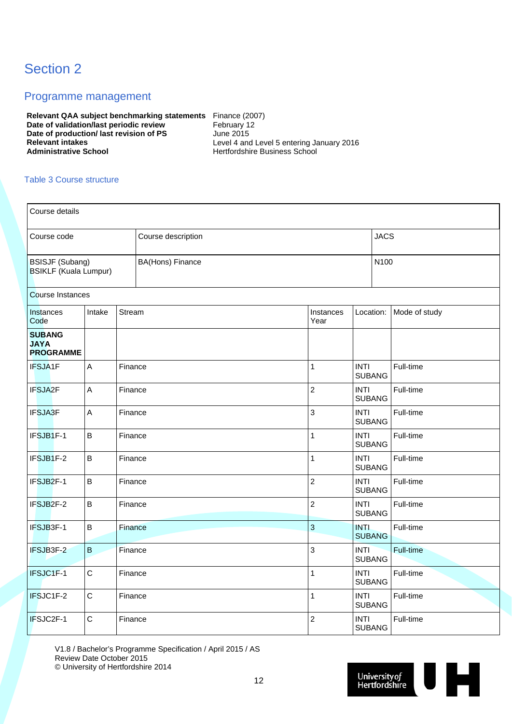### Section 2

#### Programme management

**Relevant QAA subject benchmarking statements** Finance (2007) **Date of validation/last periodic review February 12 Date of production/ last revision of PS** June 2015<br> **Relevant intakes** Level 4 and **Relevant intakes** <br> **Relevant intakes Level 4 and Level 5 entering January 2016**<br> **Administrative School Level 5 and Administrative School** 

**Administrative School** Hertfordshire Business School

#### Table 3 Course structure

| Course details                                         |             |         |                         |              |                           |                              |               |  |  |  |  |  |
|--------------------------------------------------------|-------------|---------|-------------------------|--------------|---------------------------|------------------------------|---------------|--|--|--|--|--|
| Course code                                            |             |         | Course description      |              |                           |                              | <b>JACS</b>   |  |  |  |  |  |
| <b>BSISJF (Subang)</b><br><b>BSIKLF</b> (Kuala Lumpur) |             |         | <b>BA(Hons) Finance</b> |              |                           | N100                         |               |  |  |  |  |  |
| <b>Course Instances</b>                                |             |         |                         |              |                           |                              |               |  |  |  |  |  |
| Instances<br>Code                                      | Intake      | Stream  |                         |              | Instances<br>Year         | Location:                    | Mode of study |  |  |  |  |  |
| <b>SUBANG</b><br><b>JAYA</b><br><b>PROGRAMME</b>       |             |         |                         |              |                           |                              |               |  |  |  |  |  |
| IFSJA1F                                                | A           | Finance |                         |              | $\mathbf{1}$              | <b>INTI</b><br><b>SUBANG</b> | Full-time     |  |  |  |  |  |
| IFSJA2F                                                | A           | Finance |                         |              | $\overline{c}$            | <b>INTI</b><br><b>SUBANG</b> | Full-time     |  |  |  |  |  |
| <b>IFSJA3F</b>                                         | A           | Finance |                         |              | $\mathsf 3$               | <b>INTI</b><br><b>SUBANG</b> | Full-time     |  |  |  |  |  |
| IFSJB1F-1                                              | $\sf B$     | Finance |                         |              | $\mathbf{1}$              | <b>INTI</b><br><b>SUBANG</b> | Full-time     |  |  |  |  |  |
| IFSJB1F-2                                              | $\sf B$     | Finance |                         |              | $\mathbf{1}$              | <b>INTI</b><br><b>SUBANG</b> | Full-time     |  |  |  |  |  |
| IFSJB2F-1                                              | $\sf B$     | Finance |                         |              | $\overline{c}$            | <b>INTI</b><br><b>SUBANG</b> | Full-time     |  |  |  |  |  |
| IFSJB2F-2                                              | $\sf B$     | Finance |                         |              | $\overline{c}$            | <b>INTI</b><br><b>SUBANG</b> | Full-time     |  |  |  |  |  |
| IFSJB3F-1                                              | $\sf B$     | Finance |                         | $\mathbf{3}$ |                           | <b>INTI</b><br><b>SUBANG</b> | Full-time     |  |  |  |  |  |
| IFSJB3F-2                                              | $\sf B$     | Finance |                         |              | $\ensuremath{\mathsf{3}}$ | <b>INTI</b><br><b>SUBANG</b> | Full-time     |  |  |  |  |  |
| IFSJC1F-1                                              | $\mathsf C$ | Finance |                         |              | 1                         | <b>INTI</b><br><b>SUBANG</b> | Full-time     |  |  |  |  |  |
| IFSJC1F-2                                              | $\mathsf C$ | Finance |                         |              | $\mathbf{1}$              | <b>INTI</b><br><b>SUBANG</b> | Full-time     |  |  |  |  |  |
| IFSJC2F-1                                              | $\mathsf C$ | Finance |                         |              | $\overline{c}$            | <b>INTI</b><br><b>SUBANG</b> | Full-time     |  |  |  |  |  |

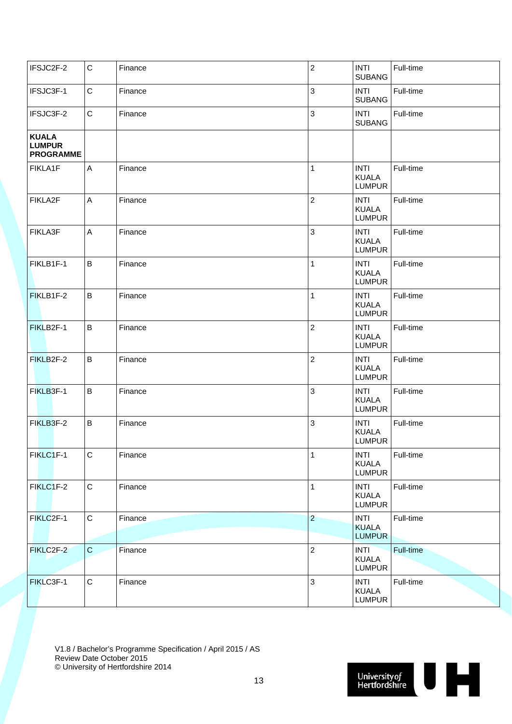| IFSJC2F-2                                         | $\mathbf C$ | Finance | $\overline{2}$ | <b>INTI</b><br><b>SUBANG</b>                 | Full-time |
|---------------------------------------------------|-------------|---------|----------------|----------------------------------------------|-----------|
| IFSJC3F-1                                         | C           | Finance | $\mathbf{3}$   | <b>INTI</b><br><b>SUBANG</b>                 | Full-time |
| IFSJC3F-2                                         | $\mathbf C$ | Finance | $\mathbf{3}$   | <b>INTI</b><br><b>SUBANG</b>                 | Full-time |
| <b>KUALA</b><br><b>LUMPUR</b><br><b>PROGRAMME</b> |             |         |                |                                              |           |
| FIKLA1F                                           | A           | Finance | 1              | <b>INTI</b><br><b>KUALA</b><br><b>LUMPUR</b> | Full-time |
| FIKLA2F                                           | A           | Finance | $\overline{2}$ | <b>INTI</b><br><b>KUALA</b><br><b>LUMPUR</b> | Full-time |
| FIKLA3F                                           | A           | Finance | 3              | <b>INTI</b><br><b>KUALA</b><br><b>LUMPUR</b> | Full-time |
| FIKLB1F-1                                         | B           | Finance | $\mathbf{1}$   | <b>INTI</b><br><b>KUALA</b><br><b>LUMPUR</b> | Full-time |
| FIKLB1F-2                                         | B           | Finance | 1              | <b>INTI</b><br><b>KUALA</b><br><b>LUMPUR</b> | Full-time |
| FIKLB2F-1                                         | B           | Finance | $\overline{2}$ | <b>INTI</b><br><b>KUALA</b><br><b>LUMPUR</b> | Full-time |
| FIKLB2F-2                                         | B           | Finance | $\overline{2}$ | <b>INTI</b><br><b>KUALA</b><br><b>LUMPUR</b> | Full-time |
| FIKLB3F-1                                         | $\sf B$     | Finance | 3              | <b>INTI</b><br><b>KUALA</b><br><b>LUMPUR</b> | Full-time |
| FIKLB3F-2                                         | $\sf B$     | Finance | 3              | <b>INTI</b><br><b>KUALA</b><br><b>LUMPUR</b> | Full-time |
| FIKLC1F-1                                         | ${\bf C}$   | Finance | $\mathbf{1}$   | <b>INTI</b><br><b>KUALA</b><br><b>LUMPUR</b> | Full-time |
| FIKLC1F-2                                         | $\mathbf C$ | Finance | $\mathbf{1}$   | <b>INTI</b><br><b>KUALA</b><br><b>LUMPUR</b> | Full-time |
| FIKLC2F-1                                         | $\mathbf C$ | Finance | $\overline{c}$ | <b>INTI</b><br><b>KUALA</b><br><b>LUMPUR</b> | Full-time |
| FIKLC2F-2                                         | $\mathbf C$ | Finance | $\mathbf 2$    | <b>INTI</b><br><b>KUALA</b><br><b>LUMPUR</b> | Full-time |
| FIKLC3F-1                                         | $\mathbf C$ | Finance | $\mathbf{3}$   | <b>INTI</b><br><b>KUALA</b><br><b>LUMPUR</b> | Full-time |

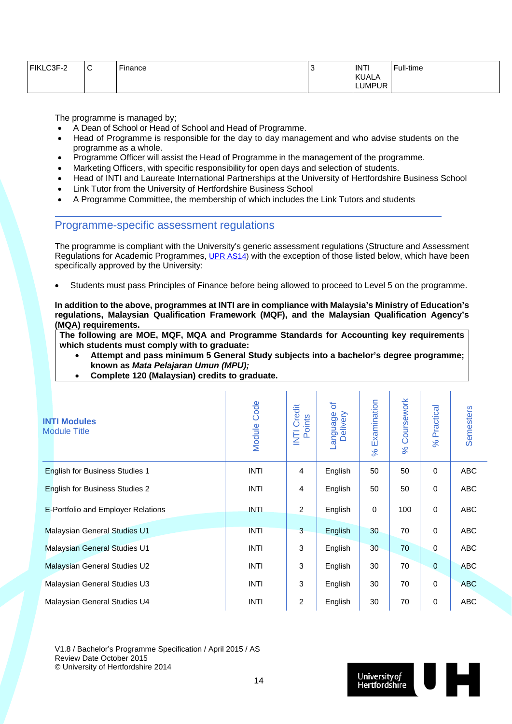| FIKLC3F-2 | ⌒<br>ັ | $- \cdot$<br>Finance | . . | <b>INTI</b>  | Full-time |
|-----------|--------|----------------------|-----|--------------|-----------|
|           |        |                      |     | <b>KUALA</b> |           |
|           |        |                      |     | LUMPUR       |           |

The programme is managed by;

- A Dean of School or Head of School and Head of Programme.
- Head of Programme is responsible for the day to day management and who advise students on the programme as a whole.
- Programme Officer will assist the Head of Programme in the management of the programme.
- Marketing Officers, with specific responsibility for open days and selection of students.
- Head of INTI and Laureate International Partnerships at the University of Hertfordshire Business School
- Link Tutor from the University of Hertfordshire Business School
- A Programme Committee, the membership of which includes the Link Tutors and students

#### Programme-specific assessment regulations

The programme is compliant with the University's generic assessment regulations (Structure and Assessment Regulations for Academic Programmes, UPR AS14) with the exception of those listed below, which have been specifically approved by the University:

Students must pass Principles of Finance before being allowed to proceed to Level 5 on the programme.

**In addition to the above, programmes at INTI are in compliance with Malaysia's Ministry of Education's regulations, Malaysian Qualification Framework (MQF), and the Malaysian Qualification Agency's (MQA) requirements.** 

**The following are MOE, MQF, MQA and Programme Standards for Accounting key requirements which students must comply with to graduate:** 

- **Attempt and pass minimum 5 General Study subjects into a bachelor's degree programme; known as** *Mata Pelajaran Umun (MPU);*
- **Complete 120 (Malaysian) credits to graduate.**

| <b>INTI Modules</b><br><b>Module Title</b> | <b>Module Code</b> | Credit<br>Points<br>E | ð<br>Language<br>Delivery | Examination<br>8 <sup>o</sup> | Coursework<br>$\aleph$ | Practical<br>$\aleph$ | Semesters  |
|--------------------------------------------|--------------------|-----------------------|---------------------------|-------------------------------|------------------------|-----------------------|------------|
| <b>English for Business Studies 1</b>      | <b>INTI</b>        | $\overline{4}$        | English                   | 50                            | 50                     | $\mathbf 0$           | ABC        |
| <b>English for Business Studies 2</b>      | <b>INTI</b>        | $\overline{4}$        | English                   | 50                            | 50                     | $\mathbf 0$           | ABC        |
| E-Portfolio and Employer Relations         | <b>INTI</b>        | $\overline{2}$        | English                   | 0                             | 100                    | $\mathbf 0$           | ABC        |
| <b>Malaysian General Studies U1</b>        | <b>INTI</b>        | 3                     | English                   | 30                            | 70                     | $\mathbf 0$           | <b>ABC</b> |
| <b>Malaysian General Studies U1</b>        | <b>INTI</b>        | 3                     | English                   | 30                            | 70                     | $\mathbf{0}$          | ABC        |
| Malaysian General Studies U2               | <b>INTI</b>        | 3                     | English                   | 30                            | 70                     | $\overline{0}$        | <b>ABC</b> |
| Malaysian General Studies U3               | <b>INTI</b>        | 3                     | English                   | 30                            | 70                     | $\mathbf 0$           | <b>ABC</b> |
| Malaysian General Studies U4               | <b>INTI</b>        | $\overline{2}$        | English                   | 30                            | 70                     | $\mathbf 0$           | <b>ABC</b> |

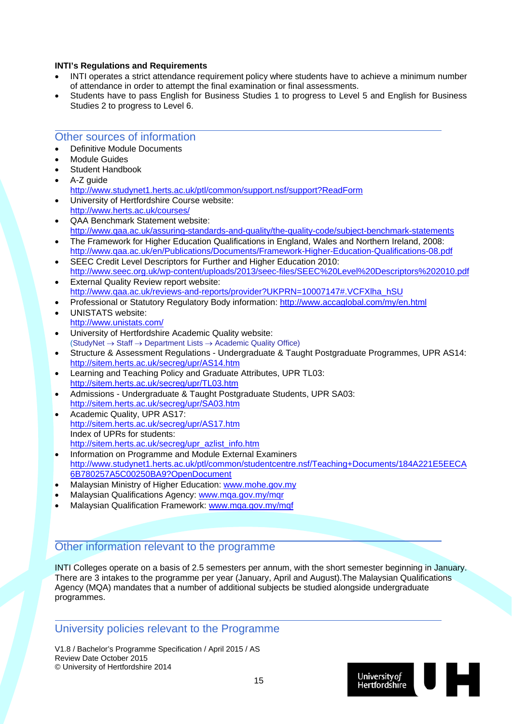#### **INTI's Regulations and Requirements**

- INTI operates a strict attendance requirement policy where students have to achieve a minimum number of attendance in order to attempt the final examination or final assessments.
- Students have to pass English for Business Studies 1 to progress to Level 5 and English for Business Studies 2 to progress to Level 6.

#### Other sources of information

- Definitive Module Documents
- Module Guides
- Student Handbook
- A-Z guide
	- http://www.studynet1.herts.ac.uk/ptl/common/support.nsf/support?ReadForm
- University of Hertfordshire Course website: http://www.herts.ac.uk/courses/
- QAA Benchmark Statement website: http://www.qaa.ac.uk/assuring-standards-and-quality/the-quality-code/subject-benchmark-statements
- The Framework for Higher Education Qualifications in England, Wales and Northern Ireland, 2008: http://www.qaa.ac.uk/en/Publications/Documents/Framework-Higher-Education-Qualifications-08.pdf
- SEEC Credit Level Descriptors for Further and Higher Education 2010: http://www.seec.org.uk/wp-content/uploads/2013/seec-files/SEEC%20Level%20Descriptors%202010.pdf
- External Quality Review report website: http://www.qaa.ac.uk/reviews-and-reports/provider?UKPRN=10007147#.VCFXlha\_hSU
- Professional or Statutory Regulatory Body information: http://www.accaglobal.com/my/en.html
- UNISTATS website: http://www.unistats.com/
- University of Hertfordshire Academic Quality website:  $(StudvNet \rightarrow Staff \rightarrow Department Lists \rightarrow Academic Quality Office)$
- Structure & Assessment Regulations Undergraduate & Taught Postgraduate Programmes, UPR AS14: http://sitem.herts.ac.uk/secreg/upr/AS14.htm
- Learning and Teaching Policy and Graduate Attributes, UPR TL03: http://sitem.herts.ac.uk/secreg/upr/TL03.htm
- Admissions Undergraduate & Taught Postgraduate Students, UPR SA03: http://sitem.herts.ac.uk/secreg/upr/SA03.htm
- Academic Quality, UPR AS17: http://sitem.herts.ac.uk/secreg/upr/AS17.htm Index of UPRs for students: http://sitem.herts.ac.uk/secreg/upr\_azlist\_info.htm
- Information on Programme and Module External Examiners http://www.studynet1.herts.ac.uk/ptl/common/studentcentre.nsf/Teaching+Documents/184A221E5EECA 6B780257A5C00250BA9?OpenDocument
- Malaysian Ministry of Higher Education: www.mohe.gov.my
- Malaysian Qualifications Agency: www.mga.gov.my/mgr
- Malaysian Qualification Framework: www.mqa.gov.my/mqf

#### Other information relevant to the programme

INTI Colleges operate on a basis of 2.5 semesters per annum, with the short semester beginning in January. There are 3 intakes to the programme per year (January, April and August).The Malaysian Qualifications Agency (MQA) mandates that a number of additional subjects be studied alongside undergraduate programmes.

#### University policies relevant to the Programme

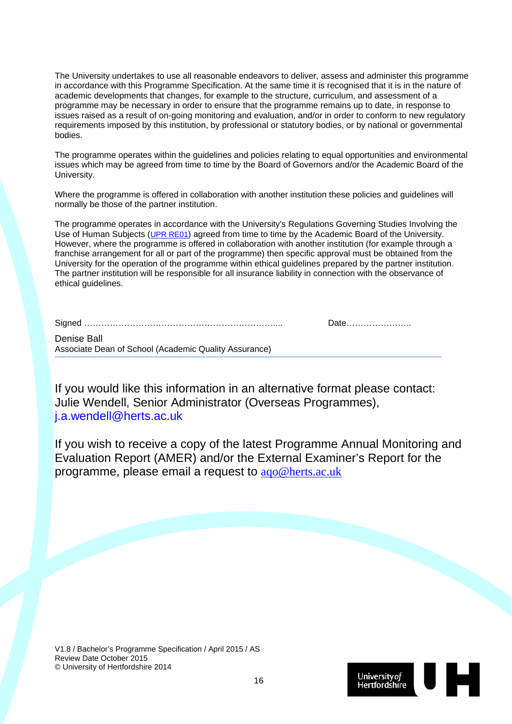The University undertakes to use all reasonable endeavors to deliver, assess and administer this programme in accordance with this Programme Specification. At the same time it is recognised that it is in the nature of academic developments that changes, for example to the structure, curriculum, and assessment of a programme may be necessary in order to ensure that the programme remains up to date, in response to issues raised as a result of on-going monitoring and evaluation, and/or in order to conform to new regulatory requirements imposed by this institution, by professional or statutory bodies, or by national or governmental bodies.

The programme operates within the guidelines and policies relating to equal opportunities and environmental issues which may be agreed from time to time by the Board of Governors and/or the Academic Board of the University.

Where the programme is offered in collaboration with another institution these policies and guidelines will normally be those of the partner institution.

The programme operates in accordance with the University's Regulations Governing Studies Involving the Use of Human Subjects (UPR RE01) agreed from time to time by the Academic Board of the University. However, where the programme is offered in collaboration with another institution (for example through a franchise arrangement for all or part of the programme) then specific approval must be obtained from the University for the operation of the programme within ethical guidelines prepared by the partner institution. The partner institution will be responsible for all insurance liability in connection with the observance of ethical quidelines.

| <b>Denise Ball</b> |  |
|--------------------|--|

Associate Dean of School (Academic Quality Assurance)

If you would like this information in an alternative format please contact: Julie Wendell, Senior Administrator (Overseas Programmes), j.a.wendell@herts.ac.uk

If you wish to receive a copy of the latest Programme Annual Monitoring and Evaluation Report (AMER) and/or the External Examiner's Report for the programme, please email a request to aqo@herts.ac.uk

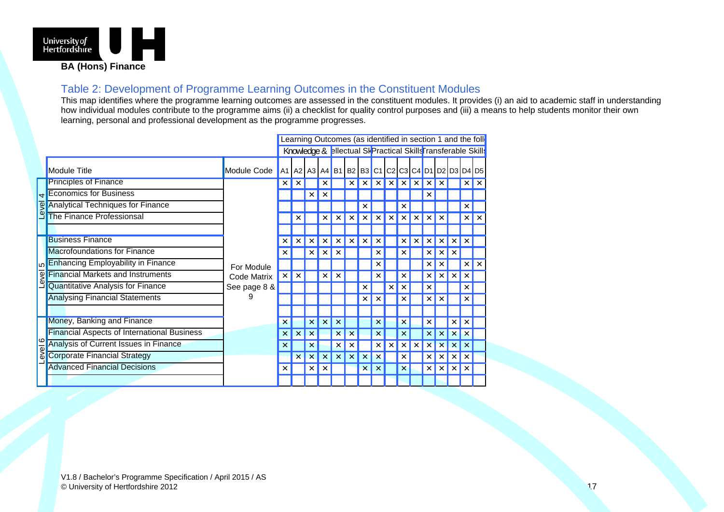

#### Table 2: Development of Programme Learning Outcomes in the Constituent Modules

This map identifies where the programme learning outcomes are assessed in the constituent modules. It provides (i) an aid to academic staff in understanding how individual modules contribute to the programme aims (ii) a checklist for quality control purposes and (iii) a means to help students monitor their own learning, personal and professional development as the programme progresses.

| Learning Outcomes (as identified in section 1 and the foll          |                                                    |              |   |          |          |          |                                                                               |   |  |  |   |   |   |   |          |
|---------------------------------------------------------------------|----------------------------------------------------|--------------|---|----------|----------|----------|-------------------------------------------------------------------------------|---|--|--|---|---|---|---|----------|
| Knowledge & <b>Blectual Sk Practical Skills</b> Fransferable Skills |                                                    |              |   |          |          |          |                                                                               |   |  |  |   |   |   |   |          |
|                                                                     | <b>Module Title</b>                                | Module Code  |   |          |          |          | A1   A2   A3   A4   B1   B2   B3   C1   C2   C3   C4   D1   D2   D3   D4   D5 |   |  |  |   |   |   |   |          |
|                                                                     | <b>Principles of Finance</b>                       |              | × |          |          |          |                                                                               |   |  |  |   |   |   | × | $\times$ |
| $\overline{4}$                                                      | <b>Economics for Business</b>                      |              |   |          |          |          |                                                                               |   |  |  |   |   |   |   |          |
| Level                                                               | <b>Analytical Techniques for Finance</b>           |              |   |          |          |          |                                                                               |   |  |  |   |   |   |   |          |
|                                                                     | <b>The Finance Professionsal</b>                   |              |   |          |          |          |                                                                               |   |  |  |   |   |   |   |          |
|                                                                     |                                                    |              |   |          |          |          |                                                                               |   |  |  |   |   |   |   |          |
|                                                                     | <b>Business Finance</b>                            |              |   |          |          |          |                                                                               |   |  |  | x |   |   |   |          |
|                                                                     | <b>Macrofoundations for Finance</b>                | For Module   |   |          |          |          |                                                                               |   |  |  |   |   |   |   |          |
|                                                                     | Enhancing Employability in Finance                 |              |   |          |          |          |                                                                               |   |  |  |   |   |   | × | $\times$ |
| evel                                                                | <b>Financial Markets and Instruments</b>           | Code Matrix  | × | $\times$ |          |          |                                                                               |   |  |  |   |   |   |   |          |
|                                                                     | Quantitative Analysis for Finance                  | See page 8 & |   |          |          |          |                                                                               |   |  |  |   |   |   |   |          |
|                                                                     | <b>Analysing Financial Statements</b>              | 9            |   |          |          |          |                                                                               |   |  |  |   |   |   |   |          |
|                                                                     |                                                    |              |   |          |          |          |                                                                               |   |  |  |   |   |   |   |          |
|                                                                     | Money, Banking and Finance                         |              | × |          | $\times$ | $\times$ | ×                                                                             |   |  |  | × |   | x | × |          |
|                                                                     | <b>Financial Aspects of International Business</b> |              | x |          |          |          |                                                                               |   |  |  |   |   |   |   |          |
| <b>O</b>                                                            | Analysis of Current Issues in Finance              |              |   |          |          |          |                                                                               |   |  |  |   |   |   |   |          |
| lavel                                                               | <b>Corporate Financial Strategy</b>                |              |   |          |          |          |                                                                               |   |  |  |   |   |   | × |          |
|                                                                     | <b>Advanced Financial Decisions</b>                |              | x |          | ×        | $\times$ |                                                                               | × |  |  | × | x | × |   |          |
|                                                                     |                                                    |              |   |          |          |          |                                                                               |   |  |  |   |   |   |   |          |